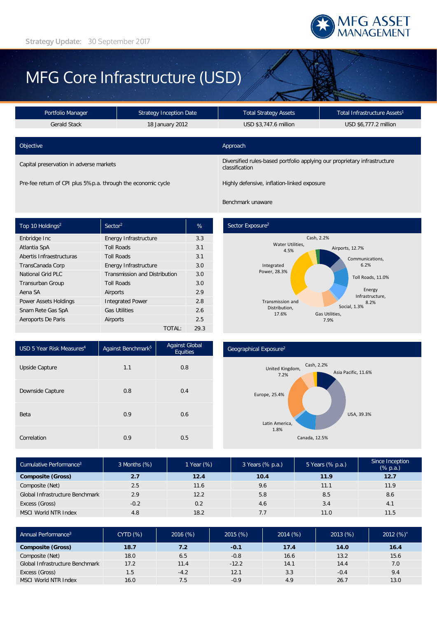

# MFG Core Infrastructure (USD)

| <b>Strategy Inception Date</b><br>Portfolio Manager          |  | Total Infrastructure Assets <sup>1</sup><br><b>Total Strategy Assets</b>                    |                       |  |
|--------------------------------------------------------------|--|---------------------------------------------------------------------------------------------|-----------------------|--|
| <b>Gerald Stack</b><br>18 January 2012                       |  | USD \$3,747.6 million                                                                       | USD \$6,777.2 million |  |
|                                                              |  |                                                                                             |                       |  |
| Objective                                                    |  | Approach                                                                                    |                       |  |
| Capital preservation in adverse markets                      |  | Diversified rules-based portfolio applying our proprietary infrastructure<br>classification |                       |  |
| Pre-fee return of CPI plus 5%p.a. through the economic cycle |  | Highly defensive, inflation-linked exposure                                                 |                       |  |

Benchmark unaware

| Top 10 Holdings <sup>2</sup> | Sector <sup>2</sup>                  | %    |
|------------------------------|--------------------------------------|------|
| Enbridge Inc                 | Energy Infrastructure                | 3.3  |
| Atlantia SpA                 | <b>Toll Roads</b>                    | 3.1  |
| Abertis Infraestructuras     | <b>Toll Roads</b>                    | 3.1  |
| TransCanada Corp             | Energy Infrastructure                | 3.0  |
| National Grid PLC            | <b>Transmission and Distribution</b> | 3.0  |
| <b>Transurban Group</b>      | <b>Toll Roads</b>                    |      |
| Aena SA                      | Airports                             | 2.9  |
| <b>Power Assets Holdings</b> | <b>Integrated Power</b>              | 2.8  |
| Snam Rete Gas SpA            | <b>Gas Utilities</b>                 | 2.6  |
| Aeroports De Paris           | Airports                             |      |
|                              | TOTAL:                               | 29.3 |

## Sector Exposure<sup>2</sup>



| USD 5 Year Risk Measures <sup>4</sup> | Against Benchmark <sup>5</sup> | <b>Against Global</b><br><b>Equities</b> |
|---------------------------------------|--------------------------------|------------------------------------------|
| Upside Capture                        | 1.1                            | 0.8                                      |
| Downside Capture                      | 0.8                            | 0.4                                      |
| Beta                                  | 0.9                            | 0.6                                      |
| Correlation                           | 0.9                            | 0.5                                      |

#### Geographical Exposure2



| Cumulative Performance <sup>3</sup> | 3 Months (%) | 1 Year (%) | 3 Years (% p.a.) | 5 Years (% p.a.) | Since Inception<br>$(% \mathbb{R}^2)$ (% p.a.) |
|-------------------------------------|--------------|------------|------------------|------------------|------------------------------------------------|
| <b>Composite (Gross)</b>            | 2.7          | 12.4       | 10.4             | 11.9             | 12.7                                           |
| Composite (Net)                     | 2.5          | 11.6       | 9.6              | 11.1             | 11.9                                           |
| Global Infrastructure Benchmark     | 2.9          | 12.2       | 5.8              | 8.5              | 8.6                                            |
| Excess (Gross)                      | $-0.2$       | 0.2        | 4.6              | 3.4              | 4.1                                            |
| <b>MSCI World NTR Index</b>         | 4.8          | 18.2       | 7.7              | 11.0             | 11.5                                           |

| Annual Performance <sup>3</sup> | <b>CYTD (%)</b> | 2016(%) | 2015(%) | 2014(%) | 2013(%) | 2012 $(%)^*$ |
|---------------------------------|-----------------|---------|---------|---------|---------|--------------|
| <b>Composite (Gross)</b>        | 18.7            | 7.2     | $-0.1$  | 17.4    | 14.0    | 16.4         |
| Composite (Net)                 | 18.0            | 6.5     | $-0.8$  | 16.6    | 13.2    | 15.6         |
| Global Infrastructure Benchmark | 17.2            | 11.4    | $-12.2$ | 14.1    | 14.4    | 7.0          |
| Excess (Gross)                  | 1.5             | $-4.2$  | 12.1    | 3.3     | $-0.4$  | 9.4          |
| MSCI World NTR Index            | 16.0            | 7.5     | $-0.9$  | 4.9     | 26.7    | 13.0         |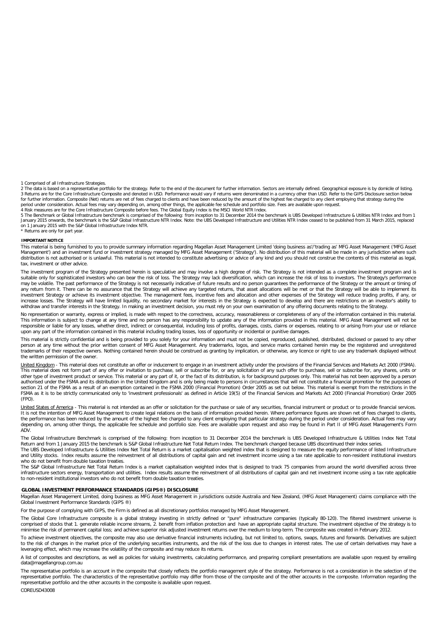1 Comprised of all Infrastructure Strategies.<br>2 The data is based on a representative portfolio for the strategy. Refer to the end of the document for further information. Sectors are internally defined. Geographical expos

5 The Benchmark or Global Infrastructure benchmark is comprised of the following: from inception to 31 December 2014 the benchmark is UBS Developed Infrastructure & Utilities NTR Index and from 1<br>January 2015 onwards, the on 1 January 2015 with the S&P Global Infrastructure Index NTR. \* Returns are only for part year.

**IMPORTANT NOTICE**

This material is being furnished to you to provide summary information regarding Magellan Asset Management Limited 'doing business as'/'trading as' MFG Asset Management ('MFG Asset Management') and an investment fund or investment strategy managed by MFG Asset Management ('Strategy'). No distribution of this material will be made in any jurisdiction where such distribution is not authorised or is unlawful. This material is not intended to constitute advertising or advice of any kind and you should not construe the contents of this material as legal, tax, investment or other advice.

The investment program of the Strategy presented herein is speculative and may involve a high degree of risk. The Strategy is not intended as a complete investment program and is<br>suitable only for sophisticated investors w may be volatile. The past performance of the Strategy is not necessarily indicative of future results and no person guarantees the performance of the Strategy or the amount or timing of any return from it. There can be no assurance that the Strategy will achieve any targeted returns, that asset allocations will be met or that the Strategy will be able to implement its investment Strategy or achieve its investment objective. The management fees, incentive fees and allocation and other expenses of the Strategy will reduce trading profits, if any, or<br>increase losses. The Strategy will have withdraw and transfer interests in the Strategy. In making an investment decision, you must rely on your own examination of any offering documents relating to the Strategy.

No representation or warranty, express or implied, is made with respect to the correctness, accuracy, reasonableness or completeness of any of the information contained in this material. This information is subject to change at any time and no person has any responsibility to update any of the information provided in this material. MFG Asset Management will not be<br>responsible or liable for any losses, whet upon any part of the information contained in this material including trading losses, loss of opportunity or incidental or punitive damages.

This material is strictly confidential and is being provided to you solely for your information and must not be copied, reproduced, published, distributed, disclosed or passed to any other person at any time without the prior written consent of MFG Asset Management. Any trademarks, logos, and service marks contained herein may be the registered and unregistered trademarks of their respective owners. Nothing contained herein should be construed as granting by implication, or otherwise, any licence or right to use any trademark displayed without the written permission of the owner.

<u>United Kingdom</u> - This material does not constitute an offer or inducement to engage in an investment activity under the provisions of the Financial Services and Markets Act 2000 (FSMA).<br>This material does not form part o other type of investment product or service. This material or any part of it, or the fact of its distribution, is for background purposes only. This material has not been approved by a person authorised under the FSMA and its distribution in the United Kingdom and is only being made to persons in circumstances that will not constitute a financial promotion for the purposes of section 21 of the FSMA as a result of an exemption contained in the FSMA 2000 (Financial Promotion) Order 2005 as set out below. This material is exempt from the restrictions in the<br>FSMA as it is to be strictly communicate (FPO).

United States of America - This material is not intended as an offer or solicitation for the purchase or sale of any securities, financial instrument or product or to provide financial services. It is not the intention of MFG Asset Management to create legal relations on the basis of information provided herein. Where performance figures are shown net of fees charged to clients, the performance has been reduced by the amount of the highest fee charged to any client employing that particular strategy during the period under consideration. Actual fees may vary depending on, among other things, the applicable fee schedule and portfolio size. Fees are available upon request and also may be found in Part II of MFG Asset Management's Form ADV.

The Global Infrastructure Benchmark is comprised of the following: from inception to 31 December 2014 the benchmark is UBS Developed Infrastructure & Utilities Index Net Total Return and from 1 January 2015 the benchmark is S&P Global Infrastructure Net Total Return Index. The benchmark changed because UBS discontinued their index series.

The UBS Developed Infrastructure & Utilities Index Net Total Return is a market capitalisation weighted index that is designed to measure the equity performance of listed Infrastructure and Utility stocks. Index results assume the reinvestment of all distributions of capital gain and net investment income using a tax rate applicable to non-resident institutional investors who do not benefit from double taxation treaties.

The S&P Global Infrastructure Net Total Return Index is a market capitalisation weighted index that is designed to track 75 companies from around the world diversified across three infrastructure sectors energy, transportation and utilities. Index results assume the reinvestment of all distributions of capital gain and net investment income using a tax rate applicable to non-resident institutional investors who do not benefit from double taxation treaties.

#### **GLOBAL INVESTMENT PERFORMANCE STANDARDS (GIPS®) DISCLOSURE**

Magellan Asset Management Limited, doing business as MFG Asset Management in jurisdictions outside Australia and New Zealand, (MFG Asset Management) claims compliance with the Global Investment Performance Standards (GIPS ®)

For the purpose of complying with GIPS, the Firm is defined as all discretionary portfolios managed by MFG Asset Management.

The Global Core Infrastructure composite is a global strategy investing in strictly defined or "pure" infrastructure companies (typically 80-120). The filtered investment universe is<br>comprised of stocks that 1. generate re minimise the risk of permanent capital loss; and achieve superior risk adjusted investment returns over the medium to long-term. The composite was created in February 2012.

To achieve investment objectives, the composite may also use derivative financial instruments including, but not limited to, options, swaps, futures and forwards. Derivatives are subject to the risk of changes in the market price of the underlying securities instruments, and the risk of the loss due to changes in interest rates. The use of certain derivatives may have a<br>leveraging effect, which may increas

A list of composites and descriptions, as well as policies for valuing investments, calculating performance, and preparing compliant presentations are available upon request by emailing data@magellangroup.com.au

The representative portfolio is an account in the composite that closely reflects the portfolio management style of the strategy. Performance is not a consideration in the selection of the representative portfolio. The characteristics of the representative portfolio may differ from those of the composite and of the other accounts in the composite. Information regarding the<br>representative portfolio and the ot

COREUSD43008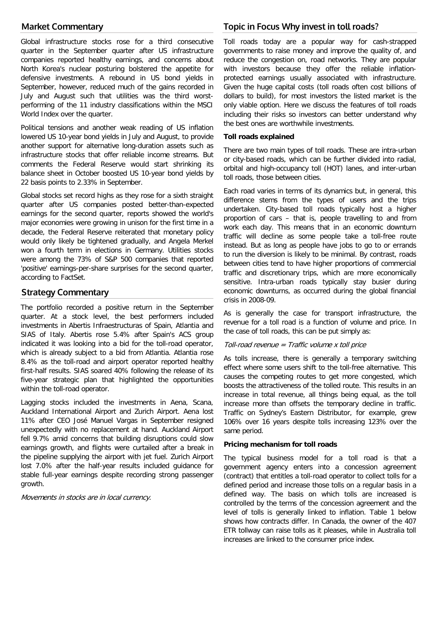# **Market Commentary**

Global infrastructure stocks rose for a third consecutive quarter in the September quarter after US infrastructure companies reported healthy earnings, and concerns about North Korea's nuclear posturing bolstered the appetite for defensive investments. A rebound in US bond yields in September, however, reduced much of the gains recorded in July and August such that utilities was the third worstperforming of the 11 industry classifications within the MSCI World Index over the quarter.

Political tensions and another weak reading of US inflation lowered US 10-year bond yields in July and August, to provide another support for alternative long-duration assets such as infrastructure stocks that offer reliable income streams. But comments the Federal Reserve would start shrinking its balance sheet in October boosted US 10-year bond yields by 22 basis points to 2.33% in September.

Global stocks set record highs as they rose for a sixth straight quarter after US companies posted better-than-expected earnings for the second quarter, reports showed the world's major economies were growing in unison for the first time in a decade, the Federal Reserve reiterated that monetary policy would only likely be tightened gradually, and Angela Merkel won a fourth term in elections in Germany. Utilities stocks were among the 73% of S&P 500 companies that reported 'positive' earnings-per-share surprises for the second quarter, according to FactSet.

# **Strategy Commentary**

The portfolio recorded a positive return in the September quarter. At a stock level, the best performers included investments in Abertis Infraestructuras of Spain, Atlantia and SIAS of Italy. Abertis rose 5.4% after Spain's ACS group indicated it was looking into a bid for the toll-road operator, which is already subject to a bid from Atlantia. Atlantia rose 8.4% as the toll-road and airport operator reported healthy first-half results. SIAS soared 40% following the release of its five-year strategic plan that highlighted the opportunities within the toll-road operator.

Lagging stocks included the investments in Aena, Scana, Auckland International Airport and Zurich Airport. Aena lost 11% after CEO José Manuel Vargas in September resigned unexpectedly with no replacement at hand. Auckland Airport fell 9.7% amid concerns that building disruptions could slow earnings growth, and flights were curtailed after a break in the pipeline supplying the airport with jet fuel. Zurich Airport lost 7.0% after the half-year results included guidance for stable full-year earnings despite recording strong passenger growth.

Movements in stocks are in local currency.

# **Topic in Focus Why invest in toll roads?**

Toll roads today are a popular way for cash-strapped governments to raise money and improve the quality of, and reduce the congestion on, road networks. They are popular with investors because they offer the reliable inflationprotected earnings usually associated with infrastructure. Given the huge capital costs (toll roads often cost billions of dollars to build), for most investors the listed market is the only viable option. Here we discuss the features of toll roads including their risks so investors can better understand why the best ones are worthwhile investments.

### **Toll roads explained**

There are two main types of toll roads. These are intra-urban or city-based roads, which can be further divided into radial, orbital and high-occupancy toll (HOT) lanes, and inter-urban toll roads, those between cities.

Each road varies in terms of its dynamics but, in general, this difference stems from the types of users and the trips undertaken. City-based toll roads typically host a higher proportion of cars – that is, people travelling to and from work each day. This means that in an economic downturn traffic will decline as some people take a toll-free route instead. But as long as people have jobs to go to or errands to run the diversion is likely to be minimal. By contrast, roads between cities tend to have higher proportions of commercial traffic and discretionary trips, which are more economically sensitive. Intra-urban roads typically stay busier during economic downturns, as occurred during the global financial crisis in 2008-09.

As is generally the case for transport infrastructure, the revenue for a toll road is a function of volume and price. In the case of toll roads, this can be put simply as:

#### Toll-road revenue = Traffic volume  $x$  toll price

As tolls increase, there is generally a temporary switching effect where some users shift to the toll-free alternative. This causes the competing routes to get more congested, which boosts the attractiveness of the tolled route. This results in an increase in total revenue, all things being equal, as the toll increase more than offsets the temporary decline in traffic. Traffic on Sydney's Eastern Distributor, for example, grew 106% over 16 years despite tolls increasing 123% over the same period.

#### **Pricing mechanism for toll roads**

The typical business model for a toll road is that a government agency enters into a concession agreement (contract) that entitles a toll-road operator to collect tolls for a defined period and increase those tolls on a regular basis in a defined way. The basis on which tolls are increased is controlled by the terms of the concession agreement and the level of tolls is generally linked to inflation. Table 1 below shows how contracts differ. In Canada, the owner of the 407 ETR tollway can raise tolls as it pleases, while in Australia toll increases are linked to the consumer price index.